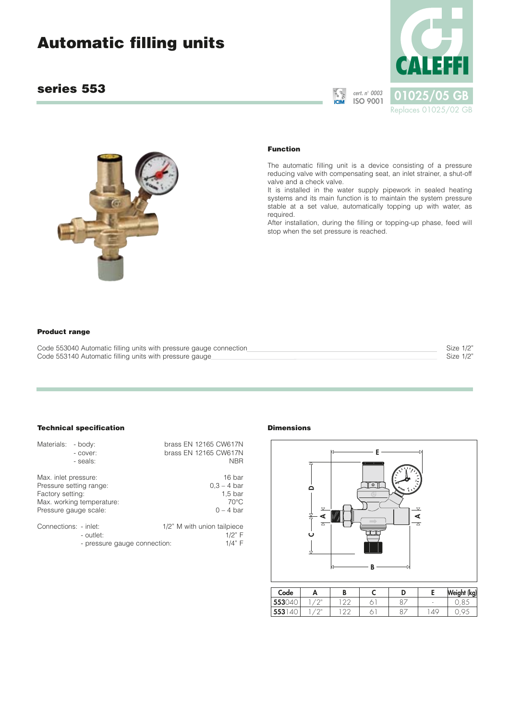# **Automatic filling units**

# **series 553**



**cert. n**° **0003**



#### **Function**

The automatic filling unit is a device consisting of a pressure reducing valve with compensating seat, an inlet strainer, a shut-off valve and a check valve.

It is installed in the water supply pipework in sealed heating systems and its main function is to maintain the system pressure stable at a set value, automatically topping up with water, as required.

After installation, during the filling or topping-up phase, feed will stop when the set pressure is reached.

#### **Product range**

| Code 553040 Automatic filling units with pressure gauge connection | Size 1/2" |
|--------------------------------------------------------------------|-----------|
| Code 553140 Automatic filling units with pressure gauge            | Size 1/2" |

# **Technical specification**

| Materials:                               | - body:<br>- cover:<br>- seals:                                               | brass EN 12165 CW617N<br>brass EN 12165 CW617N<br><b>NBR</b>                   |
|------------------------------------------|-------------------------------------------------------------------------------|--------------------------------------------------------------------------------|
| Max. inlet pressure:<br>Factory setting: | Pressure setting range:<br>Max. working temperature:<br>Pressure gauge scale: | 16 bar<br>$0.3 - 4$ bar<br>1.5 <sub>bar</sub><br>$70^{\circ}$ C<br>$0 - 4$ bar |
| Connections: - inlet:                    | - outlet:<br>- pressure gauge connection:                                     | 1/2" M with union tailpiece<br>1/2" F<br>1/4" F                                |

- pressure gauge connection:

#### **Dimensions**



| Code   |        | D |               | Weight (kg) |
|--------|--------|---|---------------|-------------|
| 553040 | $\cap$ |   |               |             |
| 5531   | $\cap$ |   | $\varDelta$ C |             |